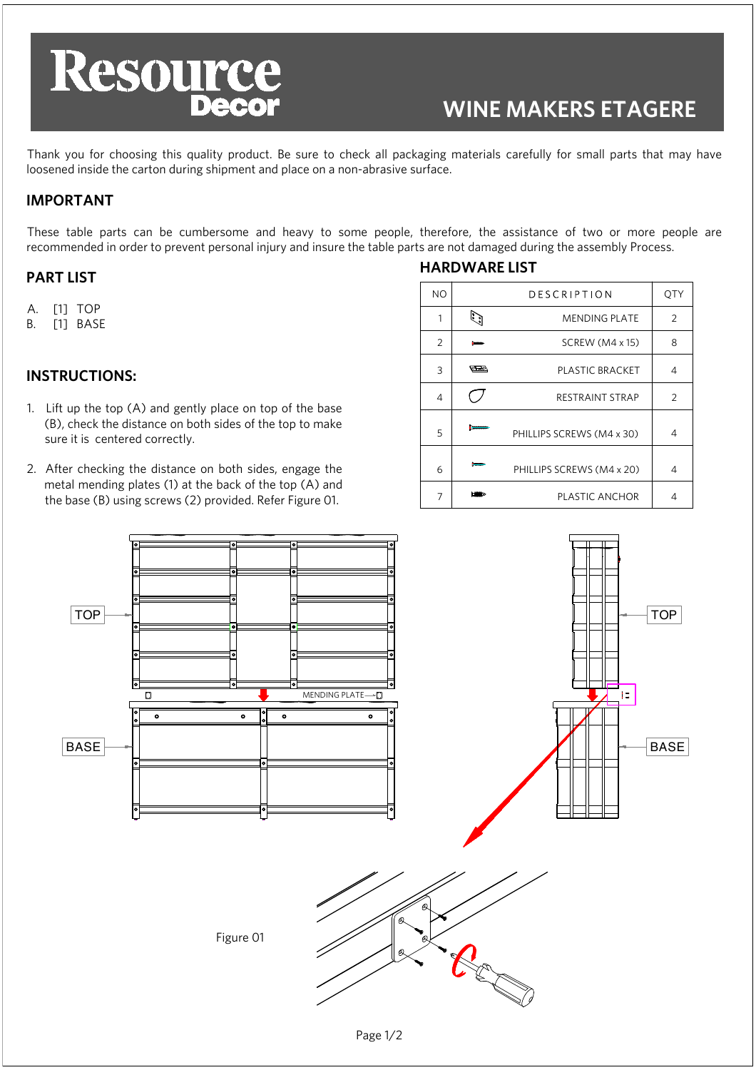

# **WINE MAKERS ETAGERE**

Thank you for choosing this quality product. Be sure to check all packaging materials carefully for small parts that may have loosened inside the carton during shipment and place on a non-abrasive surface.

# **IMPORTANT**

These table parts can be cumbersome and heavy to some people, therefore, the assistance of two or more people are recommended in order to prevent personal injury and insure the table parts are not damaged during the assembly Process.

#### **PART LIST**

- A. [1] TOP
- B. [1] BASE

### **INSTRUCTIONS:**

- 1. Lift up the top (A) and gently place on top of the base (B), check the distance on both sides of the top to make sure it is centered correctly.
- 2. After checking the distance on both sides, engage the metal mending plates (1) at the back of the top (A) and the base (B) using screws (2) provided. Refer Figure 01.

# **HARDWARE LIST**

| <b>NO</b> |             | <b>DESCRIPTION</b>        | QTY |
|-----------|-------------|---------------------------|-----|
| 1         |             | <b>MENDING PLATE</b>      | 2   |
| 2         |             | SCREW (M4 x 15)           | 8   |
| 3         | <u>rees</u> | PLASTIC BRACKET           | 4   |
| 4         |             | <b>RESTRAINT STRAP</b>    | 2   |
| 5         |             | PHILLIPS SCREWS (M4 x 30) | 4   |
| 6         |             | PHILLIPS SCREWS (M4 x 20) | 4   |
| 7         |             | PLASTIC ANCHOR            | 4   |
|           |             |                           |     |



Page 1/2